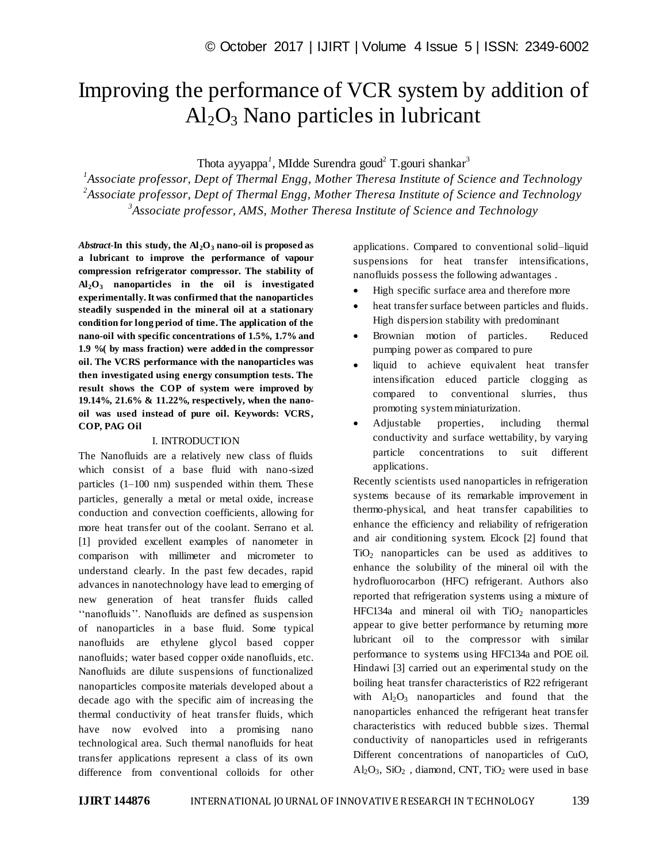# Improving the performance of VCR system by addition of  $Al_2O_3$  Nano particles in lubricant

Thota ayyappa<sup>1</sup>, MIdde Surendra goud<sup>2</sup> T.gouri shankar<sup>3</sup>

*1 Associate professor, Dept of Thermal Engg, Mother Theresa Institute of Science and Technology 2 Associate professor, Dept of Thermal Engg, Mother Theresa Institute of Science and Technology 3 Associate professor, AMS, Mother Theresa Institute of Science and Technology*

*Abstract*-**In this study, the Al2O<sup>3</sup> nano-oil is proposed as a lubricant to improve the performance of vapour compression refrigerator compressor. The stability of Al2O<sup>3</sup> nanoparticles in the oil is investigated experimentally. It was confirmed that the nanoparticles steadily suspended in the mineral oil at a stationary condition for long period of time. The application of the nano-oil with specific concentrations of 1.5%, 1.7% and 1.9 %( by mass fraction) were added in the compressor oil. The VCRS performance with the nanoparticles was then investigated using energy consumption tests. The result shows the COP of system were improved by 19.14%, 21.6% & 11.22%, respectively, when the nanooil was used instead of pure oil. Keywords: VCRS, COP, PAG Oil**

#### I. INTRODUCTION

The Nanofluids are a relatively new class of fluids which consist of a base fluid with nano-sized particles (1–100 nm) suspended within them. These particles, generally a metal or metal oxide, increase conduction and convection coefficients, allowing for more heat transfer out of the coolant. Serrano et al. [1] provided excellent examples of nanometer in comparison with millimeter and micrometer to understand clearly. In the past few decades, rapid advances in nanotechnology have lead to emerging of new generation of heat transfer fluids called ''nanofluids''. Nanofluids are defined as suspension of nanoparticles in a base fluid. Some typical nanofluids are ethylene glycol based copper nanofluids; water based copper oxide nanofluids, etc. Nanofluids are dilute suspensions of functionalized nanoparticles composite materials developed about a decade ago with the specific aim of increasing the thermal conductivity of heat transfer fluids, which have now evolved into a promising nano technological area. Such thermal nanofluids for heat transfer applications represent a class of its own difference from conventional colloids for other applications. Compared to conventional solid–liquid suspensions for heat transfer intensifications, nanofluids possess the following adwantages .

- High specific surface area and therefore more
- heat transfer surface between particles and fluids. High dispersion stability with predominant
- Brownian motion of particles. Reduced pumping power as compared to pure
- liquid to achieve equivalent heat transfer intensification educed particle clogging as compared to conventional slurries, thus promoting system miniaturization.
- Adjustable properties, including thermal conductivity and surface wettability, by varying particle concentrations to suit different applications.

Recently scientists used nanoparticles in refrigeration systems because of its remarkable improvement in thermo-physical, and heat transfer capabilities to enhance the efficiency and reliability of refrigeration and air conditioning system. Elcock [2] found that  $TiO<sub>2</sub>$  nanoparticles can be used as additives to enhance the solubility of the mineral oil with the hydrofluorocarbon (HFC) refrigerant. Authors also reported that refrigeration systems using a mixture of HFC134a and mineral oil with  $TiO<sub>2</sub>$  nanoparticles appear to give better performance by returning more lubricant oil to the compressor with similar performance to systems using HFC134a and POE oil. Hindawi [3] carried out an experimental study on the boiling heat transfer characteristics of R22 refrigerant with  $A_1Q_3$  nanoparticles and found that the nanoparticles enhanced the refrigerant heat transfer characteristics with reduced bubble sizes. Thermal conductivity of nanoparticles used in refrigerants Different concentrations of nanoparticles of CuO,  $Al_2O_3$ ,  $SiO_2$ , diamond, CNT, TiO<sub>2</sub> were used in base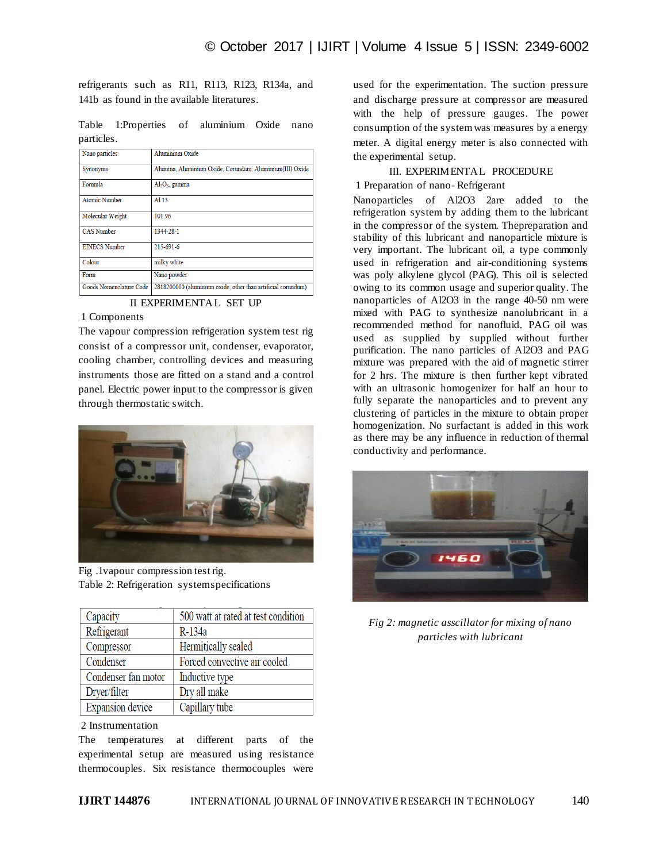refrigerants such as R11, R113, R123, R134a, and 141b as found in the available literatures.

Table 1:Properties of aluminium Oxide nano particles.

| Nano particles          | Aluminium Oxide                                              |
|-------------------------|--------------------------------------------------------------|
| Synonyms                | Alumina, Aluminium Oxide, Corundum, Aluminium(III) Oxide     |
| Formula                 | $Al2O3$ , gamma                                              |
| <b>Atomic Number</b>    | A113                                                         |
| Molecular Weight        | 101.96                                                       |
| <b>CAS Number</b>       | 1344-28-1                                                    |
| <b>EINECS Number</b>    | $215 - 691 - 6$                                              |
| Colour                  | milky white                                                  |
| Form                    | Nano powder                                                  |
| Goods Nomenclature Code | 2818200000 (aluminium oxide, other than artificial corundum) |

II EXPERIMENTAL SET UP

## 1 Components

The vapour compression refrigeration system test rig consist of a compressor unit, condenser, evaporator, cooling chamber, controlling devices and measuring instruments those are fitted on a stand and a control panel. Electric power input to the compressor is given through thermostatic switch.



Fig .1vapour compression test rig. Table 2: Refrigeration system specifications

| Capacity            | 500 watt at rated at test condition |
|---------------------|-------------------------------------|
| Refrigerant         | R-134a                              |
| Compressor          | Hermitically sealed                 |
| Condenser           | Forced convective air cooled        |
| Condenser fan motor | Inductive type                      |
| Dryer/filter        | Dry all make                        |
| Expansion device    | Capillary tube                      |

# 2 Instrumentation

The temperatures at different parts of the experimental setup are measured using resistance thermocouples. Six resistance thermocouples were used for the experimentation. The suction pressure and discharge pressure at compressor are measured with the help of pressure gauges. The power consumption of the system was measures by a energy meter. A digital energy meter is also connected with the experimental setup.

# III. EXPERIMENTAL PROCEDURE

# 1 Preparation of nano- Refrigerant

Nanoparticles of Al2O3 2are added to the refrigeration system by adding them to the lubricant in the compressor of the system. Thepreparation and stability of this lubricant and nanoparticle mixture is very important. The lubricant oil, a type commonly used in refrigeration and air-conditioning systems was poly alkylene glycol (PAG). This oil is selected owing to its common usage and superior quality. The nanoparticles of Al2O3 in the range 40-50 nm were mixed with PAG to synthesize nanolubricant in a recommended method for nanofluid. PAG oil was used as supplied by supplied without further purification. The nano particles of Al2O3 and PAG mixture was prepared with the aid of magnetic stirrer for 2 hrs. The mixture is then further kept vibrated with an ultrasonic homogenizer for half an hour to fully separate the nanoparticles and to prevent any clustering of particles in the mixture to obtain proper homogenization. No surfactant is added in this work as there may be any influence in reduction of thermal conductivity and performance.



*Fig 2: magnetic asscillator for mixing of nano particles with lubricant*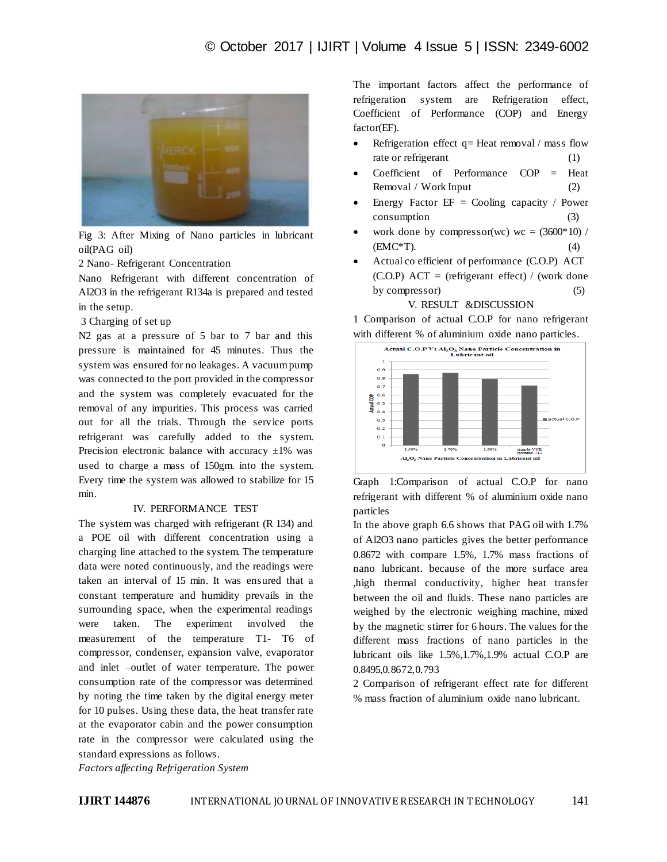

Fig 3: After Mixing of Nano particles in lubricant oil(PAG oil)

2 Nano- Refrigerant Concentration

Nano Refrigerant with different concentration of Al2O3 in the refrigerant R134a is prepared and tested in the setup.

#### 3 Charging of set up

N2 gas at a pressure of 5 bar to 7 bar and this pressure is maintained for 45 minutes. Thus the system was ensured for no leakages. A vacuum pump was connected to the port provided in the compressor and the system was completely evacuated for the removal of any impurities. This process was carried out for all the trials. Through the service ports refrigerant was carefully added to the system. Precision electronic balance with accuracy  $\pm 1\%$  was used to charge a mass of 150gm. into the system. Every time the system was allowed to stabilize for 15 min.

## IV. PERFORMANCE TEST

The system was charged with refrigerant (R 134) and a POE oil with different concentration using a charging line attached to the system. The temperature data were noted continuously, and the readings were taken an interval of 15 min. It was ensured that a constant temperature and humidity prevails in the surrounding space, when the experimental readings were taken. The experiment involved the measurement of the temperature T1- T6 of compressor, condenser, expansion valve, evaporator and inlet –outlet of water temperature. The power consumption rate of the compressor was determined by noting the time taken by the digital energy meter for 10 pulses. Using these data, the heat transfer rate at the evaporator cabin and the power consumption rate in the compressor were calculated using the standard expressions as follows.

*Factors affecting Refrigeration System*

The important factors affect the performance of refrigeration system are Refrigeration effect, Coefficient of Performance (COP) and Energy factor(EF).

- Refrigeration effect  $q=$  Heat removal / mass flow rate or refrigerant (1)
- Coefficient of Performance COP = Heat  $Removal / Work Input$  (2)
- Energy Factor  $EF = Cooling$  capacity / Power consumption (3)
- work done by compressor(wc) wc =  $(3600*10)$  /  $(EMC*T).$  (4)
- Actual co efficient of performance (C.O.P) ACT  $(C.O.P)$  ACT = (refrigerant effect) / (work done by compressor) (5)

V. RESULT &DISCUSSION

1 Comparison of actual C.O.P for nano refrigerant with different % of aluminium oxide nano particles.



Graph 1:Comparison of actual C.O.P for nano refrigerant with different % of aluminium oxide nano particles

In the above graph 6.6 shows that PAG oil with 1.7% of Al2O3 nano particles gives the better performance 0.8672 with compare 1.5%, 1.7% mass fractions of nano lubricant. because of the more surface area ,high thermal conductivity, higher heat transfer between the oil and fluids. These nano particles are weighed by the electronic weighing machine, mixed by the magnetic stirrer for 6 hours. The values for the different mass fractions of nano particles in the lubricant oils like 1.5%,1.7%,1.9% actual C.O.P are 0.8495,0.8672,0.793

2 Comparison of refrigerant effect rate for different % mass fraction of aluminium oxide nano lubricant.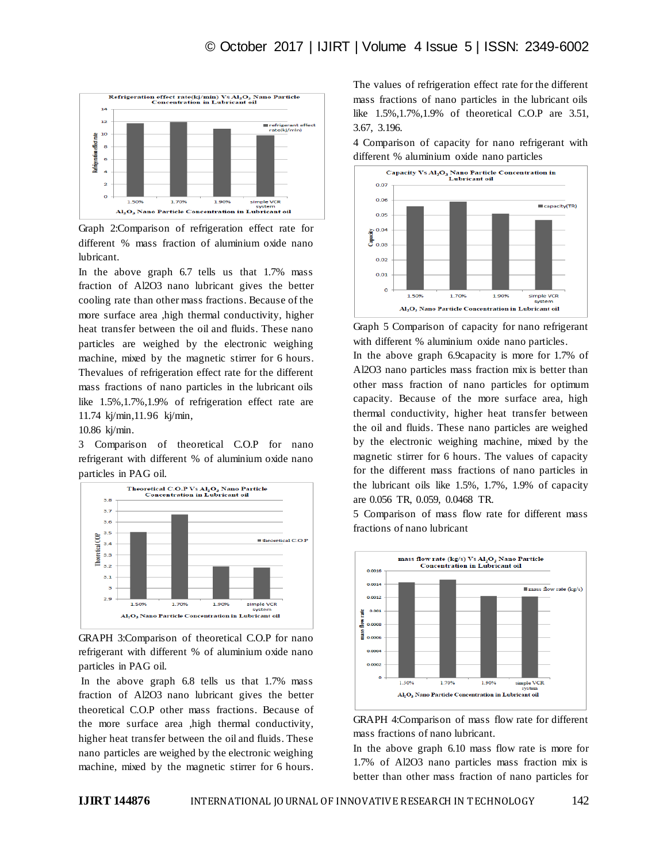

Graph 2:Comparison of refrigeration effect rate for different % mass fraction of aluminium oxide nano lubricant.

In the above graph 6.7 tells us that 1.7% mass fraction of Al2O3 nano lubricant gives the better cooling rate than other mass fractions. Because of the more surface area ,high thermal conductivity, higher heat transfer between the oil and fluids. These nano particles are weighed by the electronic weighing machine, mixed by the magnetic stirrer for 6 hours. Thevalues of refrigeration effect rate for the different mass fractions of nano particles in the lubricant oils like 1.5%,1.7%,1.9% of refrigeration effect rate are 11.74 kj/min,11.96 kj/min,

#### 10.86 kj/min.

3 Comparison of theoretical C.O.P for nano refrigerant with different % of aluminium oxide nano particles in PAG oil.



GRAPH 3:Comparison of theoretical C.O.P for nano refrigerant with different % of aluminium oxide nano particles in PAG oil.

In the above graph 6.8 tells us that 1.7% mass fraction of Al2O3 nano lubricant gives the better theoretical C.O.P other mass fractions. Because of the more surface area ,high thermal conductivity, higher heat transfer between the oil and fluids. These nano particles are weighed by the electronic weighing machine, mixed by the magnetic stirrer for 6 hours.

The values of refrigeration effect rate for the different mass fractions of nano particles in the lubricant oils like 1.5%,1.7%,1.9% of theoretical C.O.P are 3.51, 3.67, 3.196.

4 Comparison of capacity for nano refrigerant with different % aluminium oxide nano particles



Graph 5 Comparison of capacity for nano refrigerant with different % aluminium oxide nano particles.

In the above graph 6.9capacity is more for 1.7% of Al2O3 nano particles mass fraction mix is better than other mass fraction of nano particles for optimum capacity. Because of the more surface area, high thermal conductivity, higher heat transfer between the oil and fluids. These nano particles are weighed by the electronic weighing machine, mixed by the magnetic stirrer for 6 hours. The values of capacity for the different mass fractions of nano particles in the lubricant oils like 1.5%, 1.7%, 1.9% of capacity are 0.056 TR, 0.059, 0.0468 TR.

5 Comparison of mass flow rate for different mass fractions of nano lubricant





In the above graph 6.10 mass flow rate is more for 1.7% of Al2O3 nano particles mass fraction mix is better than other mass fraction of nano particles for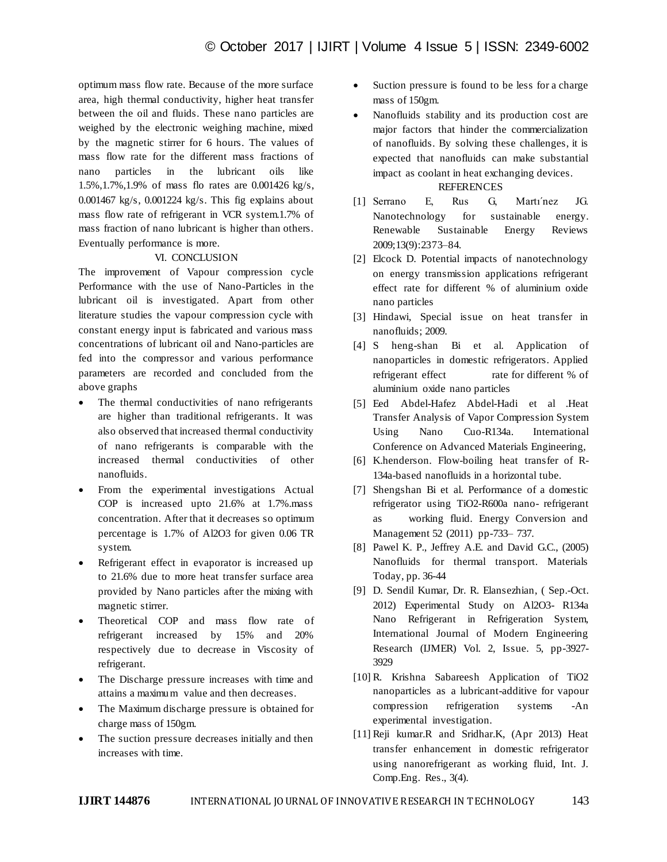optimum mass flow rate. Because of the more surface area, high thermal conductivity, higher heat transfer between the oil and fluids. These nano particles are weighed by the electronic weighing machine, mixed by the magnetic stirrer for 6 hours. The values of mass flow rate for the different mass fractions of nano particles in the lubricant oils like 1.5%,1.7%,1.9% of mass flo rates are 0.001426 kg/s, 0.001467 kg/s, 0.001224 kg/s. This fig explains about mass flow rate of refrigerant in VCR system.1.7% of mass fraction of nano lubricant is higher than others. Eventually performance is more.

### VI. CONCLUSION

The improvement of Vapour compression cycle Performance with the use of Nano-Particles in the lubricant oil is investigated. Apart from other literature studies the vapour compression cycle with constant energy input is fabricated and various mass concentrations of lubricant oil and Nano-particles are fed into the compressor and various performance parameters are recorded and concluded from the above graphs

- The thermal conductivities of nano refrigerants are higher than traditional refrigerants. It was also observed that increased thermal conductivity of nano refrigerants is comparable with the increased thermal conductivities of other nanofluids.
- From the experimental investigations Actual COP is increased upto 21.6% at 1.7%.mass concentration. After that it decreases so optimum percentage is 1.7% of Al2O3 for given 0.06 TR system.
- Refrigerant effect in evaporator is increased up to 21.6% due to more heat transfer surface area provided by Nano particles after the mixing with magnetic stirrer.
- Theoretical COP and mass flow rate of refrigerant increased by 15% and 20% respectively due to decrease in Viscosity of refrigerant.
- The Discharge pressure increases with time and attains a maximum value and then decreases.
- The Maximum discharge pressure is obtained for charge mass of 150gm.
- The suction pressure decreases initially and then increases with time.
- Suction pressure is found to be less for a charge mass of 150gm.
- Nanofluids stability and its production cost are major factors that hinder the commercialization of nanofluids. By solving these challenges, it is expected that nanofluids can make substantial impact as coolant in heat exchanging devices.

# **REFERENCES**

- [1] Serrano E, Rus G, Martı´nez JG. Nanotechnology for sustainable energy. Renewable Sustainable Energy Reviews 2009;13(9):2373–84.
- [2] Elcock D. Potential impacts of nanotechnology on energy transmission applications refrigerant effect rate for different % of aluminium oxide nano particles
- [3] Hindawi, Special issue on heat transfer in nanofluids; 2009.
- [4] S heng-shan Bi et al. Application of nanoparticles in domestic refrigerators. Applied refrigerant effect rate for different % of aluminium oxide nano particles
- [5] Eed Abdel-Hafez Abdel-Hadi et al .Heat Transfer Analysis of Vapor Compression System Using Nano Cuo-R134a. International Conference on Advanced Materials Engineering,
- [6] K.henderson. Flow-boiling heat transfer of R-134a-based nanofluids in a horizontal tube.
- [7] Shengshan Bi et al. Performance of a domestic refrigerator using TiO2-R600a nano- refrigerant as working fluid. Energy Conversion and Management 52 (2011) pp-733– 737.
- [8] Pawel K. P., Jeffrey A.E. and David G.C., (2005) Nanofluids for thermal transport. Materials Today, pp. 36-44
- [9] D. Sendil Kumar, Dr. R. Elansezhian, ( Sep.-Oct. 2012) Experimental Study on Al2O3- R134a Nano Refrigerant in Refrigeration System, International Journal of Modern Engineering Research (IJMER) Vol. 2, Issue. 5, pp-3927- 3929
- [10] R. Krishna Sabareesh Application of TiO2 nanoparticles as a lubricant-additive for vapour compression refrigeration systems -An experimental investigation.
- [11] Reji kumar.R and Sridhar.K, (Apr 2013) Heat transfer enhancement in domestic refrigerator using nanorefrigerant as working fluid, Int. J. Comp.Eng. Res., 3(4).